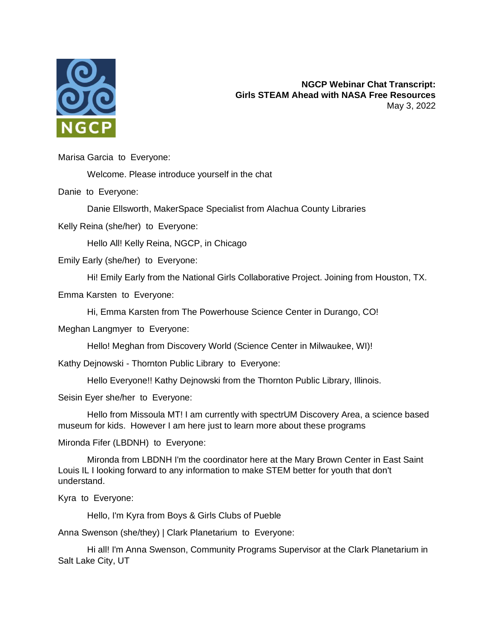

Marisa Garcia to Everyone:

Welcome. Please introduce yourself in the chat

Danie to Everyone:

Danie Ellsworth, MakerSpace Specialist from Alachua County Libraries

Kelly Reina (she/her) to Everyone:

Hello All! Kelly Reina, NGCP, in Chicago

Emily Early (she/her) to Everyone:

Hi! Emily Early from the National Girls Collaborative Project. Joining from Houston, TX.

Emma Karsten to Everyone:

Hi, Emma Karsten from The Powerhouse Science Center in Durango, CO!

Meghan Langmyer to Everyone:

Hello! Meghan from Discovery World (Science Center in Milwaukee, WI)!

Kathy Dejnowski - Thornton Public Library to Everyone:

Hello Everyone!! Kathy Dejnowski from the Thornton Public Library, Illinois.

Seisin Eyer she/her to Everyone:

Hello from Missoula MT! I am currently with spectrUM Discovery Area, a science based museum for kids. However I am here just to learn more about these programs

Mironda Fifer (LBDNH) to Everyone:

Mironda from LBDNH I'm the coordinator here at the Mary Brown Center in East Saint Louis IL I looking forward to any information to make STEM better for youth that don't understand.

Kyra to Everyone:

Hello, I'm Kyra from Boys & Girls Clubs of Pueble

Anna Swenson (she/they) | Clark Planetarium to Everyone:

Hi all! I'm Anna Swenson, Community Programs Supervisor at the Clark Planetarium in Salt Lake City, UT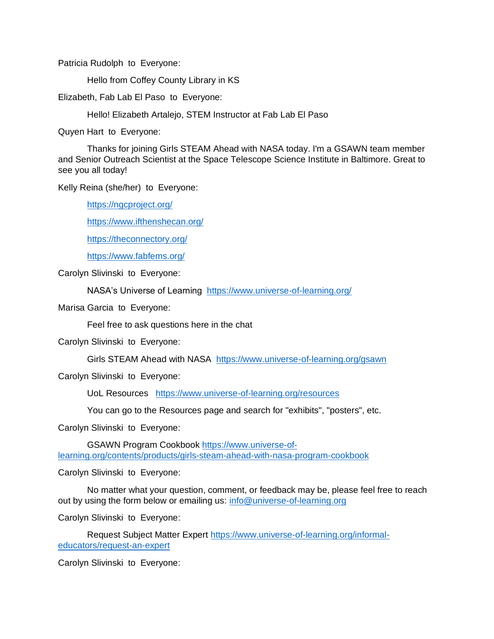Patricia Rudolph to Everyone:

Hello from Coffey County Library in KS

Elizabeth, Fab Lab El Paso to Everyone:

Hello! Elizabeth Artalejo, STEM Instructor at Fab Lab El Paso

Quyen Hart to Everyone:

Thanks for joining Girls STEAM Ahead with NASA today. I'm a GSAWN team member and Senior Outreach Scientist at the Space Telescope Science Institute in Baltimore. Great to see you all today!

Kelly Reina (she/her) to Everyone:

<https://ngcproject.org/>

<https://www.ifthenshecan.org/>

<https://theconnectory.org/>

<https://www.fabfems.org/>

Carolyn Slivinski to Everyone:

NASA's Universe of Learning <https://www.universe-of-learning.org/>

Marisa Garcia to Everyone:

Feel free to ask questions here in the chat

Carolyn Slivinski to Everyone:

Girls STEAM Ahead with NASA <https://www.universe-of-learning.org/gsawn>

Carolyn Slivinski to Everyone:

UoL Resources <https://www.universe-of-learning.org/resources>

You can go to the Resources page and search for "exhibits", "posters", etc.

Carolyn Slivinski to Everyone:

GSAWN Program Cookbook [https://www.universe-of](https://www.universe-of-learning.org/contents/products/girls-steam-ahead-with-nasa-program-cookbook)[learning.org/contents/products/girls-steam-ahead-with-nasa-program-cookbook](https://www.universe-of-learning.org/contents/products/girls-steam-ahead-with-nasa-program-cookbook)

Carolyn Slivinski to Everyone:

No matter what your question, comment, or feedback may be, please feel free to reach out by using the form below or emailing us: [info@universe-of-learning.org](mailto:info@universe-of-learning.org)

Carolyn Slivinski to Everyone:

Request Subject Matter Expert [https://www.universe-of-learning.org/informal](https://www.universe-of-learning.org/informal-educators/request-an-expert)[educators/request-an-expert](https://www.universe-of-learning.org/informal-educators/request-an-expert)

Carolyn Slivinski to Everyone: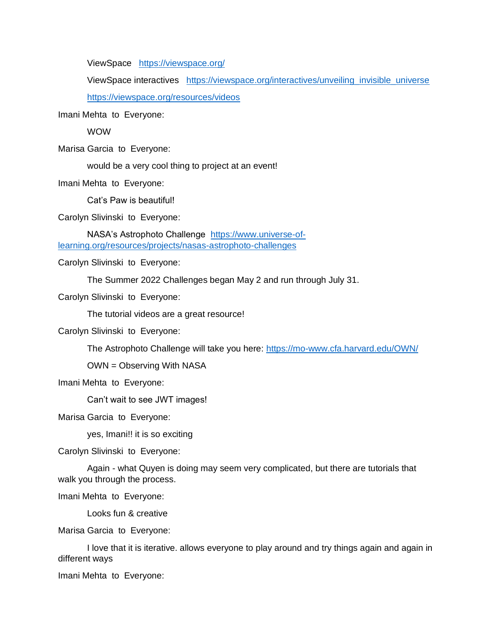ViewSpace <https://viewspace.org/>

ViewSpace interactives [https://viewspace.org/interactives/unveiling\\_invisible\\_universe](https://viewspace.org/interactives/unveiling_invisible_universe) <https://viewspace.org/resources/videos>

Imani Mehta to Everyone:

WOW

Marisa Garcia to Everyone:

would be a very cool thing to project at an event!

Imani Mehta to Everyone:

Cat's Paw is beautiful!

Carolyn Slivinski to Everyone:

NASA's Astrophoto Challenge [https://www.universe-of](https://www.universe-of-learning.org/resources/projects/nasas-astrophoto-challenges)[learning.org/resources/projects/nasas-astrophoto-challenges](https://www.universe-of-learning.org/resources/projects/nasas-astrophoto-challenges)

Carolyn Slivinski to Everyone:

The Summer 2022 Challenges began May 2 and run through July 31.

Carolyn Slivinski to Everyone:

The tutorial videos are a great resource!

Carolyn Slivinski to Everyone:

The Astrophoto Challenge will take you here:<https://mo-www.cfa.harvard.edu/OWN/>

OWN = Observing With NASA

Imani Mehta to Everyone:

Can't wait to see JWT images!

Marisa Garcia to Everyone:

yes, Imani!! it is so exciting

Carolyn Slivinski to Everyone:

Again - what Quyen is doing may seem very complicated, but there are tutorials that walk you through the process.

Imani Mehta to Everyone:

Looks fun & creative

Marisa Garcia to Everyone:

I love that it is iterative. allows everyone to play around and try things again and again in different ways

Imani Mehta to Everyone: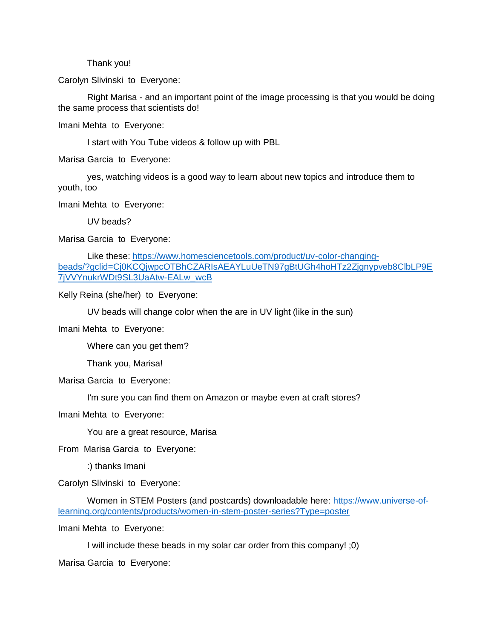Thank you!

Carolyn Slivinski to Everyone:

Right Marisa - and an important point of the image processing is that you would be doing the same process that scientists do!

Imani Mehta to Everyone:

I start with You Tube videos & follow up with PBL

Marisa Garcia to Everyone:

yes, watching videos is a good way to learn about new topics and introduce them to youth, too

Imani Mehta to Everyone:

UV beads?

Marisa Garcia to Everyone:

Like these: [https://www.homesciencetools.com/product/uv-color-changing](https://www.homesciencetools.com/product/uv-color-changing-beads/?gclid=Cj0KCQjwpcOTBhCZARIsAEAYLuUeTN97gBtUGh4hoHTz2Zjgnypveb8ClbLP9E7jVVYnukrWDt9SL3UaAtw-EALw_wcB)[beads/?gclid=Cj0KCQjwpcOTBhCZARIsAEAYLuUeTN97gBtUGh4hoHTz2Zjgnypveb8ClbLP9E](https://www.homesciencetools.com/product/uv-color-changing-beads/?gclid=Cj0KCQjwpcOTBhCZARIsAEAYLuUeTN97gBtUGh4hoHTz2Zjgnypveb8ClbLP9E7jVVYnukrWDt9SL3UaAtw-EALw_wcB) [7jVVYnukrWDt9SL3UaAtw-EALw\\_wcB](https://www.homesciencetools.com/product/uv-color-changing-beads/?gclid=Cj0KCQjwpcOTBhCZARIsAEAYLuUeTN97gBtUGh4hoHTz2Zjgnypveb8ClbLP9E7jVVYnukrWDt9SL3UaAtw-EALw_wcB)

Kelly Reina (she/her) to Everyone:

UV beads will change color when the are in UV light (like in the sun)

Imani Mehta to Everyone:

Where can you get them?

Thank you, Marisa!

Marisa Garcia to Everyone:

I'm sure you can find them on Amazon or maybe even at craft stores?

Imani Mehta to Everyone:

You are a great resource, Marisa

From Marisa Garcia to Everyone:

:) thanks Imani

Carolyn Slivinski to Everyone:

Women in STEM Posters (and postcards) downloadable here: [https://www.universe-of](https://www.universe-of-learning.org/contents/products/women-in-stem-poster-series?Type=poster)[learning.org/contents/products/women-in-stem-poster-series?Type=poster](https://www.universe-of-learning.org/contents/products/women-in-stem-poster-series?Type=poster)

Imani Mehta to Everyone:

I will include these beads in my solar car order from this company! ;0)

Marisa Garcia to Everyone: